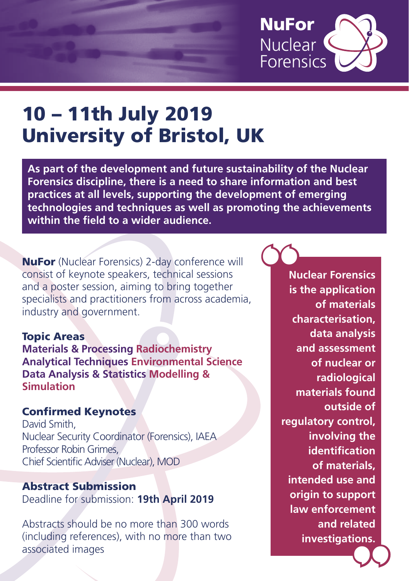

# 10 – 11th July 2019 University of Bristol, UK

**As part of the development and future sustainability of the Nuclear Forensics discipline, there is a need to share information and best practices at all levels, supporting the development of emerging technologies and techniques as well as promoting the achievements within the field to a wider audience.** 

NuFor (Nuclear Forensics) 2-day conference will consist of keynote speakers, technical sessions and a poster session, aiming to bring together specialists and practitioners from across academia, industry and government.

#### Topic Areas

**Materials & Processing Radiochemistry Analytical Techniques Environmental Science Data Analysis & Statistics Modelling & Simulation**

### Confirmed Keynotes

David Smith, Nuclear Security Coordinator (Forensics), IAEA Professor Robin Grimes, Chief Scientific Adviser (Nuclear), MOD

#### Abstract Submission Deadline for submission: **19th April 2019**

Abstracts should be no more than 300 words (including references), with no more than two associated images

**Nuclear Forensics is the application of materials characterisation, data analysis and assessment of nuclear or radiological materials found outside of regulatory control, involving the identification of materials, intended use and origin to support law enforcement and related investigations.** 00 Nu is !